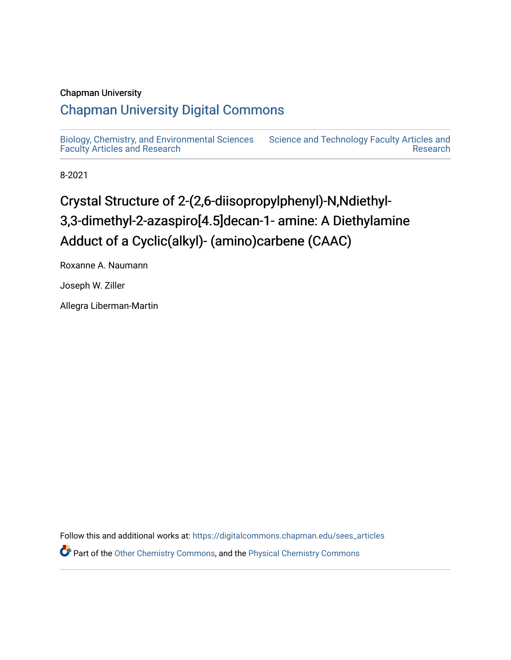## Chapman University

## [Chapman University Digital Commons](https://digitalcommons.chapman.edu/)

[Biology, Chemistry, and Environmental Sciences](https://digitalcommons.chapman.edu/sees_articles) [Faculty Articles and Research](https://digitalcommons.chapman.edu/sees_articles) [Science and Technology Faculty Articles and](https://digitalcommons.chapman.edu/science_articles)  [Research](https://digitalcommons.chapman.edu/science_articles) 

8-2021

# Crystal Structure of 2-(2,6-diisopropylphenyl)-N,Ndiethyl-3,3-dimethyl-2-azaspiro[4.5]decan-1- amine: A Diethylamine Adduct of a Cyclic(alkyl)- (amino)carbene (CAAC)

Roxanne A. Naumann

Joseph W. Ziller

Allegra Liberman-Martin

Follow this and additional works at: [https://digitalcommons.chapman.edu/sees\\_articles](https://digitalcommons.chapman.edu/sees_articles?utm_source=digitalcommons.chapman.edu%2Fsees_articles%2F455&utm_medium=PDF&utm_campaign=PDFCoverPages) 

Part of the [Other Chemistry Commons,](http://network.bepress.com/hgg/discipline/141?utm_source=digitalcommons.chapman.edu%2Fsees_articles%2F455&utm_medium=PDF&utm_campaign=PDFCoverPages) and the [Physical Chemistry Commons](http://network.bepress.com/hgg/discipline/139?utm_source=digitalcommons.chapman.edu%2Fsees_articles%2F455&utm_medium=PDF&utm_campaign=PDFCoverPages)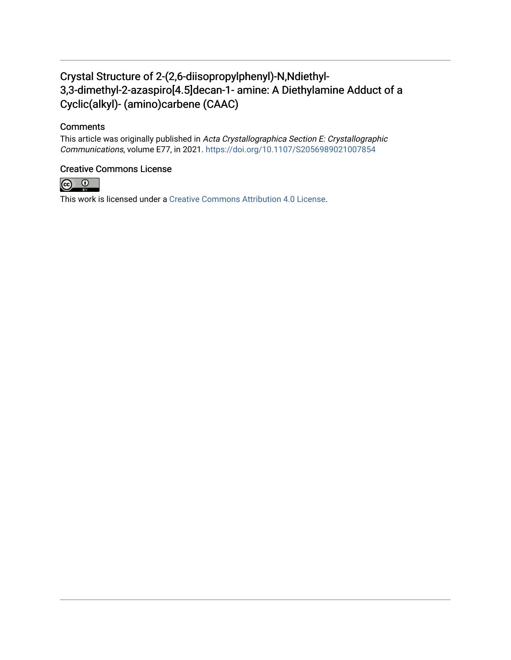## Crystal Structure of 2-(2,6-diisopropylphenyl)-N,Ndiethyl-3,3-dimethyl-2-azaspiro[4.5]decan-1- amine: A Diethylamine Adduct of a Cyclic(alkyl)- (amino)carbene (CAAC)

## **Comments**

This article was originally published in Acta Crystallographica Section E: Crystallographic Communications, volume E77, in 2021. <https://doi.org/10.1107/S2056989021007854>

## Creative Commons License



This work is licensed under a [Creative Commons Attribution 4.0 License](https://creativecommons.org/licenses/by/4.0/).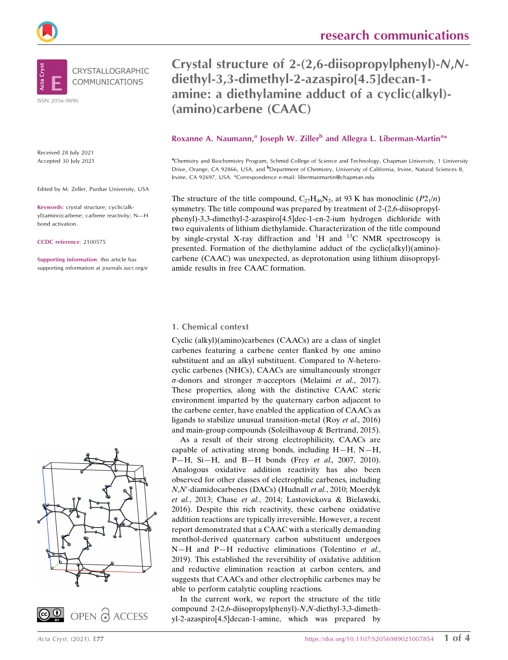

ISSN 2056-9890

Received 28 July 2021 Accepted 30 July 2021

Edited by M. Zeller, Purdue University, USA

Keywords: crystal structure; cyclic(alkyl)(amino)carbene; carbene reactivity; N—H bond activation.

CCDC reference: 2100575

Supporting information: this article has supporting information at journals.iucr.org/e





Crystal structure of 2-(2,6-diisopropylphenyl)-N,Ndiethyl-3,3-dimethyl-2-azaspiro[4.5]decan-1 amine: a diethylamine adduct of a cyclic(alkyl)- (amino)carbene (CAAC)

## Roxanne A. Naumann,<sup>a</sup> Joseph W. Ziller<sup>b</sup> and Allegra L. Liberman-Martin<sup>a\*</sup>

<sup>a</sup>Chemistry and Biochemistry Program, Schmid College of Science and Technology, Chapman University, 1 University Drive, Orange, CA 92866, USA, and <sup>b</sup>Department of Chemistry, University of California, Irvine, Natural Sciences II, Irvine, CA 92697, USA. \*Correspondence e-mail: libermanmartin@chapman.edu

The structure of the title compound,  $C_{27}H_{46}N_2$ , at 93 K has monoclinic  $(P2_1/n)$ symmetry. The title compound was prepared by treatment of 2-(2,6-diisopropylphenyl)-3,3-dimethyl-2-azaspiro[4.5]dec-1-en-2-ium hydrogen dichloride with two equivalents of lithium diethylamide. Characterization of the title compound by single-crystal X-ray diffraction and  ${}^{1}H$  and  ${}^{13}C$  NMR spectroscopy is presented. Formation of the diethylamine adduct of the cyclic(alkyl)(amino) carbene (CAAC) was unexpected, as deprotonation using lithium diisopropylamide results in free CAAC formation.

#### 1. Chemical context

Cyclic (alkyl)(amino)carbenes (CAACs) are a class of singlet carbenes featuring a carbene center flanked by one amino substituent and an alkyl substituent. Compared to N-heterocyclic carbenes (NHCs), CAACs are simultaneously stronger  $\sigma$ -donors and stronger  $\pi$ -acceptors (Melaimi et al., 2017). These properties, along with the distinctive CAAC steric environment imparted by the quaternary carbon adjacent to the carbene center, have enabled the application of CAACs as ligands to stabilize unusual transition-metal (Roy et al., 2016) and main-group compounds (Soleilhavoup & Bertrand, 2015).

As a result of their strong electrophilicity, CAACs are capable of activating strong bonds, including  $H-H$ ,  $N-H$ ,  $P-H$ , Si-H, and B-H bonds (Frey *et al.*, 2007, 2010). Analogous oxidative addition reactivity has also been observed for other classes of electrophilic carbenes, including N,N'-diamidocarbenes (DACs) (Hudnall et al., 2010; Moerdyk et al., 2013; Chase et al., 2014; Lastovickova & Bielawski, 2016). Despite this rich reactivity, these carbene oxidative addition reactions are typically irreversible. However, a recent report demonstrated that a CAAC with a sterically demanding menthol-derived quaternary carbon substituent undergoes N-H and P-H reductive eliminations (Tolentino et al., 2019). This established the reversibility of oxidative addition and reductive elimination reaction at carbon centers, and suggests that CAACs and other electrophilic carbenes may be able to perform catalytic coupling reactions.

In the current work, we report the structure of the title compound 2-(2,6-diisopropylphenyl)-N,N-diethyl-3,3-dimethyl-2-azaspiro[4.5]decan-1-amine, which was prepared by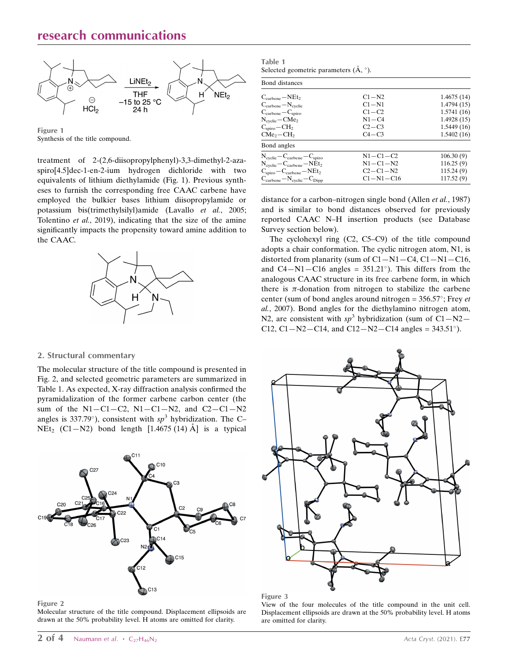## research communications



Figure 1 Synthesis of the title compound.

treatment of 2-(2,6-diisopropylphenyl)-3,3-dimethyl-2-azaspiro[4.5]dec-1-en-2-ium hydrogen dichloride with two equivalents of lithium diethylamide (Fig. 1). Previous syntheses to furnish the corresponding free CAAC carbene have employed the bulkier bases lithium diisopropylamide or potassium bis(trimethylsilyl)amide (Lavallo et al., 2005; Tolentino et al., 2019), indicating that the size of the amine significantly impacts the propensity toward amine addition to the CAAC.



#### 2. Structural commentary

The molecular structure of the title compound is presented in Fig. 2, and selected geometric parameters are summarized in Table 1. As expected, X-ray diffraction analysis confirmed the pyramidalization of the former carbene carbon center (the sum of the  $N1 - C1 - C2$ ,  $N1 - C1 - N2$ , and  $C2 - C1 - N2$ angles is 337.79°), consistent with  $sp^3$  hybridization. The C- $NEt_2$  (C1-N2) bond length [1.4675 (14) Å] is a typical



#### Figure 2

Molecular structure of the title compound. Displacement ellipsoids are drawn at the 50% probability level. H atoms are omitted for clarity.

Table 1 Selected geometric parameters  $(\AA, \degree)$ .

| Bond distances                                              |                |            |
|-------------------------------------------------------------|----------------|------------|
| $C_{\text{carbene}} - NEt_2$                                | $C1 - N2$      | 1.4675(14) |
| $C_{\text{carbene}} - N_{\text{cyclic}}$                    | $C1-N1$        | 1.4794(15) |
| $C_{\text{carbene}} - C_{\text{spiro}}$                     | $C1 - C2$      | 1.5741(16) |
| $N_{\text{cyclic}} - \text{CMe}_2$                          | $N1 - C4$      | 1.4928(15) |
| $C_{\rm spiro}$ – $CH2$                                     | $C2-C3$        | 1.5449(16) |
| $CMe_2 - CH_2$                                              | $C4 - C3$      | 1.5402(16) |
| Bond angles                                                 |                |            |
| $N_{\text{cyclic}} - C_{\text{carbene}} - C_{\text{spiro}}$ | $N1 - C1 - C2$ | 106.30(9)  |
| $N_{\text{cyclic}}-C_{\text{carbene}}-NEt_2$                | $N1 - C1 - N2$ | 116.25(9)  |
| $C_{\text{spiro}}-C_{\text{carbene}}-NEt_2$                 | $C2 - C1 - N2$ | 115.24(9)  |
| $C_{\text{carbene}} - N_{\text{cyclic}} - C_{\text{Dipp}}$  | $C1-N1-C16$    | 117.52(9)  |

distance for a carbon–nitrogen single bond (Allen *et al.*, 1987) and is similar to bond distances observed for previously reported CAAC N–H insertion products (see Database Survey section below).

The cyclohexyl ring (C2, C5–C9) of the title compound adopts a chair conformation. The cyclic nitrogen atom, N1, is distorted from planarity (sum of  $C1-N1-C4$ ,  $C1-N1-C16$ , and  $C4 - N1 - C16$  angles = 351.21°). This differs from the analogous CAAC structure in its free carbene form, in which there is  $\pi$ -donation from nitrogen to stabilize the carbene center (sum of bond angles around nitrogen =  $356.57^{\circ}$ ; Frey et al., 2007). Bond angles for the diethylamino nitrogen atom, N2, are consistent with  $sp^3$  hybridization (sum of C1-N2-C12, C1-N2-C14, and C12-N2-C14 angles =  $343.51^{\circ}$ ).



#### Figure 3

View of the four molecules of the title compound in the unit cell. Displacement ellipsoids are drawn at the 50% probability level. H atoms are omitted for clarity.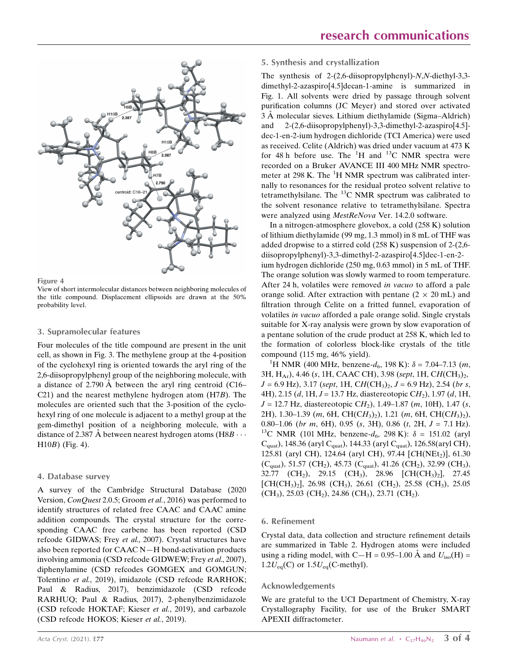



View of short intermolecular distances between neighboring molecules of the title compound. Displacement ellipsoids are drawn at the 50% probability level.

#### 3. Supramolecular features

Four molecules of the title compound are present in the unit cell, as shown in Fig. 3. The methylene group at the 4-position of the cyclohexyl ring is oriented towards the aryl ring of the 2,6-diisopropylphenyl group of the neighboring molecule, with a distance of 2.790  $\AA$  between the aryl ring centroid (C16– C21) and the nearest methylene hydrogen atom (H7B). The molecules are oriented such that the 3-position of the cyclohexyl ring of one molecule is adjacent to a methyl group at the gem-dimethyl position of a neighboring molecule, with a distance of 2.387 A between nearest hydrogen atoms (H8B  $\cdots$ ) H10B) (Fig. 4).

#### 4. Database survey

A survey of the Cambridge Structural Database (2020 Version, ConQuest 2.0.5; Groom et al., 2016) was performed to identify structures of related free CAAC and CAAC amine addition compounds. The crystal structure for the corresponding CAAC free carbene has been reported (CSD refcode GIDWAS; Frey et al., 2007). Crystal structures have also been reported for CAAC N—H bond-activation products involving ammonia (CSD refcode GIDWEW; Frey et al., 2007), diphenylamine (CSD refcodes GOMGEX and GOMGUN; Tolentino et al., 2019), imidazole (CSD refcode RARHOK; Paul & Radius, 2017), benzimidazole (CSD refcode RARHUQ; Paul & Radius, 2017), 2-phenylbenzimidazole (CSD refcode HOKTAF; Kieser et al., 2019), and carbazole (CSD refcode HOKOS; Kieser et al., 2019).

#### 5. Synthesis and crystallization

The synthesis of 2-(2,6-diisopropylphenyl)-N,N-diethyl-3,3 dimethyl-2-azaspiro[4.5]decan-1-amine is summarized in Fig. 1. All solvents were dried by passage through solvent purification columns (JC Meyer) and stored over activated 3 Å molecular sieves. Lithium diethylamide (Sigma–Aldrich) and 2-(2,6-diisopropylphenyl)-3,3-dimethyl-2-azaspiro[4.5] dec-1-en-2-ium hydrogen dichloride (TCI America) were used as received. Celite (Aldrich) was dried under vacuum at 473 K for 48 h before use. The  ${}^{1}H$  and  ${}^{13}C$  NMR spectra were recorded on a Bruker AVANCE III 400 MHz NMR spectrometer at 298 K. The <sup>1</sup>H NMR spectrum was calibrated internally to resonances for the residual proteo solvent relative to tetramethylsilane. The  $^{13}$ C NMR spectrum was calibrated to the solvent resonance relative to tetramethylsilane. Spectra were analyzed using MestReNova Ver. 14.2.0 software.

In a nitrogen-atmosphere glovebox, a cold (258 K) solution of lithium diethylamide (99 mg, 1.3 mmol) in 8 mL of THF was added dropwise to a stirred cold (258 K) suspension of 2-(2,6 diisopropylphenyl)-3,3-dimethyl-2-azaspiro[4.5]dec-1-en-2 ium hydrogen dichloride (250 mg, 0.63 mmol) in 5 mL of THF. The orange solution was slowly warmed to room temperature. After 24 h, volatiles were removed in vacuo to afford a pale orange solid. After extraction with pentane  $(2 \times 20 \text{ mL})$  and filtration through Celite on a fritted funnel, evaporation of volatiles in vacuo afforded a pale orange solid. Single crystals suitable for X-ray analysis were grown by slow evaporation of a pentane solution of the crude product at 258 K, which led to the formation of colorless block-like crystals of the title compound  $(115 \text{ mg}, 46\% \text{ yield}).$ 

<sup>1</sup>H NMR (400 MHz, benzene- $d_6$ , 198 K):  $\delta$  = 7.04–7.13 (*m*, 3H, H<sub>Ar</sub>), 4.46 (s, 1H, CAAC CH), 3.98 (sept, 1H, CH(CH<sub>3</sub>)<sub>2</sub>,  $J = 6.9$  Hz), 3.17 (sept, 1H, CH(CH<sub>3</sub>)<sub>2</sub>,  $J = 6.9$  Hz), 2.54 (br s, 4H), 2.15 (d, 1H,  $J = 13.7$  Hz, diastereotopic CH<sub>2</sub>), 1.97 (d, 1H,  $J = 12.7$  Hz, diastereotopic CH<sub>2</sub>), 1.49–1.87 (m, 10H), 1.47 (s, 2H), 1.30–1.39 (m, 6H, CH(CH<sub>3</sub>)<sub>2</sub>), 1.21 (m, 6H, CH(CH<sub>3</sub>)<sub>2</sub>), 0.80–1.06 (br m, 6H), 0.95 (s, 3H), 0.86 (t, 2H,  $J = 7.1$  Hz).<br><sup>13</sup>C NMR (101 MHz, benzene- $d_6$ , 298 K):  $\delta = 151.02$  (aryl  $C_{\text{quat}}$ ), 148.36 (aryl  $C_{\text{quat}}$ ), 144.33 (aryl  $C_{\text{quat}}$ ), 126.58(aryl CH), 125.81 (aryl CH), 124.64 (aryl CH), 97.44 [CH(NEt<sub>2</sub>)], 61.30  $(C_{\text{quat}})$ , 51.57 (CH<sub>2</sub>), 45.73 ( $C_{\text{quat}}$ ), 41.26 (CH<sub>2</sub>), 32.99 (CH<sub>3</sub>), 32.77 (CH<sub>2</sub>), 29.15 (CH<sub>3</sub>), 28.96 [CH(CH<sub>3</sub>)<sub>2</sub>], 27.45  $[CH(CH<sub>3</sub>)<sub>2</sub>]$ , 26.98 (CH<sub>3</sub>), 26.61 (CH<sub>2</sub>), 25.58 (CH<sub>3</sub>), 25.05  $(CH_3)$ , 25.03 (CH<sub>2</sub>), 24.86 (CH<sub>3</sub>), 23.71 (CH<sub>2</sub>).

#### 6. Refinement

Crystal data, data collection and structure refinement details are summarized in Table 2. Hydrogen atoms were included using a riding model, with C-H = 0.95-1.00 Å and  $U_{iso}(H)$  =  $1.2U_{eq}(C)$  or  $1.5U_{eq}(C$ -methyl).

#### Acknowledgements

We are grateful to the UCI Department of Chemistry, X-ray Crystallography Facility, for use of the Bruker SMART APEXII diffractometer.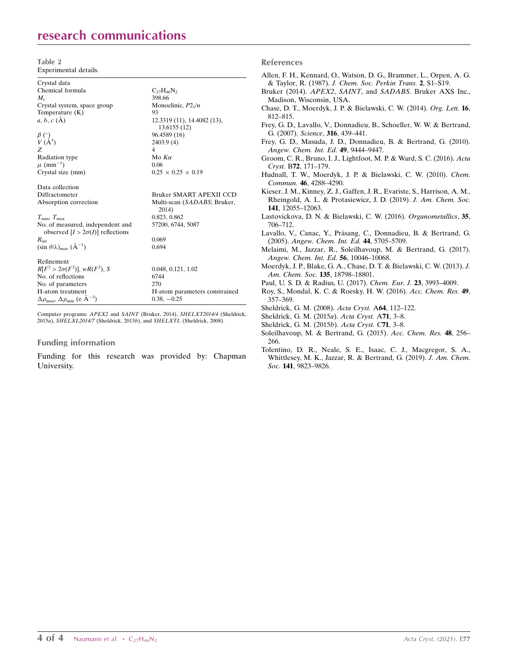# research communications

Table 2 Experimental details.

| Crystal data                                                               |                                      |
|----------------------------------------------------------------------------|--------------------------------------|
| Chemical formula                                                           | $C_{27}H_{46}N_2$                    |
| $M_{\rm r}$                                                                | 398.66                               |
| Crystal system, space group                                                | Monoclinic, $P2_1/n$                 |
| Temperature $(K)$                                                          | 93                                   |
| $a, b, c (\AA)$                                                            | 12.3319 (11), 14.4082 (13),          |
|                                                                            | 13.6155 (12)                         |
| $\begin{array}{c} \beta \binom{\circ}{1} \\ V (A^3) \end{array}$           | 96.4589 (16)                         |
|                                                                            | 2403.9 (4)                           |
| Z                                                                          | 4                                    |
| Radiation type                                                             | Mo $K\alpha$                         |
| $\mu$ (mm <sup>-1</sup> )                                                  | 0.06                                 |
| Crystal size (mm)                                                          | $0.25 \times 0.25 \times 0.19$       |
| Data collection                                                            |                                      |
| Diffractometer                                                             | Bruker SMART APEXII CCD              |
| Absorption correction                                                      | Multi-scan (SADABS; Bruker,<br>2014) |
| $T_{\min}, T_{\max}$                                                       | 0.823, 0.862                         |
| No. of measured, independent and                                           | 57200, 6744, 5087                    |
| observed $[I > 2\sigma(I)]$ reflections                                    |                                      |
| $R_{\rm int}$                                                              | 0.069                                |
| $(\sin \theta/\lambda)_{\text{max}} (\AA^{-1})$                            | 0.694                                |
| Refinement                                                                 |                                      |
| $R[F^2 > 2\sigma(F^2)], wR(F^2), S$                                        | 0.048, 0.121, 1.02                   |
| No. of reflections                                                         | 6744                                 |
| No. of parameters                                                          | 270                                  |
| H-atom treatment                                                           | H-atom parameters constrained        |
| $\Delta\rho_{\text{max}}$ , $\Delta\rho_{\text{min}}$ (e Å <sup>-3</sup> ) | $0.38, -0.25$                        |
|                                                                            |                                      |

Computer programs: APEX2 and SAINT (Bruker, 2014), SHELXT2014/4 (Sheldrick, 2015a), SHELXL2014/7 (Sheldrick, 2015b), and SHELXTL (Sheldrick, 2008).

### Funding information

Funding for this research was provided by: Chapman University.

#### References

| Allen, F. H., Kennard, O., Watson, D. G., Brammer, L., Orpen, A. G.                                      |
|----------------------------------------------------------------------------------------------------------|
| & Taylor, R. (1987). J. Chem. Soc. Perkin Trans. 2, S1-S19.                                              |
| Bruker (2014). APEX2, SAINT, and SADABS. Bruker AXS Inc.,                                                |
| Madison, Wisconsin, USA.                                                                                 |
| Chase, D. T., Moerdyk, J. P. & Bielawski, C. W. (2014). Org. Lett. 16,                                   |
| 812-815.                                                                                                 |
| Frey, G. D., Lavallo, V., Donnadieu, B., Schoeller, W. W. & Bertrand,                                    |
| G. (2007). Science, 316, 439–441.                                                                        |
| Frey, G. D., Masuda, J. D., Donnadieu, B. & Bertrand, G. (2010).<br>Angew. Chem. Int. Ed. 49, 9444-9447. |
| Groom, C. R., Bruno, I. J., Lightfoot, M. P. & Ward, S. C. (2016). Acta                                  |
| Cryst. B72, 171-179.                                                                                     |
| Hudnall, T. W., Moerdyk, J. P. & Bielawski, C. W. (2010). Chem.                                          |
| Commun. 46, 4288-4290.                                                                                   |
| Kieser, J. M., Kinney, Z. J., Gaffen, J. R., Evariste, S., Harrison, A. M.,                              |
| Rheingold, A. L. & Protasiewicz, J. D. (2019). J. Am. Chem. Soc.                                         |
| 141, 12055–12063.                                                                                        |
| Lastovickova, D. N. & Bielawski, C. W. (2016). Organometallics, 35,                                      |
| 706-712.                                                                                                 |
| Lavallo, V., Canac, Y., Präsang, C., Donnadieu, B. & Bertrand, G.                                        |
| (2005). Angew. Chem. Int. Ed. 44, 5705–5709.                                                             |
| Melaimi, M., Jazzar, R., Soleilhavoup, M. & Bertrand, G. (2017).                                         |
| Angew. Chem. Int. Ed. 56, 10046-10068.                                                                   |
| Moerdyk, J. P., Blake, G. A., Chase, D. T. & Bielawski, C. W. (2013). J.                                 |
| Am. Chem. Soc. 135, 18798-18801.                                                                         |
| Paul, U. S. D. & Radius, U. (2017). Chem. Eur. J. 23, 3993–4009.                                         |
| Roy, S., Mondal, K. C. & Roesky, H. W. (2016). Acc. Chem. Res. 49,                                       |
| 357-369.                                                                                                 |
| Sheldrick, G. M. (2008). Acta Cryst. A64, 112-122.                                                       |
| Sheldrick, G. M. (2015a). Acta Cryst. A71, 3-8.                                                          |
| $Choldualc$ $CHM$ $(2015k)$ Anto $C$ and $CH1$ 2.8                                                       |

- [Sheldrick, G. M. \(2015](http://scripts.iucr.org/cgi-bin/cr.cgi?rm=pdfbb&cnor=zl5021&bbid=BB18)b). Acta Cryst. C71, 3–8.
- [Soleilhavoup, M. & Bertrand, G. \(2015\).](http://scripts.iucr.org/cgi-bin/cr.cgi?rm=pdfbb&cnor=zl5021&bbid=BB19) Acc. Chem. Res. 48, 256– [266.](http://scripts.iucr.org/cgi-bin/cr.cgi?rm=pdfbb&cnor=zl5021&bbid=BB19)
- [Tolentino, D. R., Neale, S. E., Isaac, C. J., Macgregor, S. A.,](http://scripts.iucr.org/cgi-bin/cr.cgi?rm=pdfbb&cnor=zl5021&bbid=BB20) [Whittlesey, M. K., Jazzar, R. & Bertrand, G. \(2019\).](http://scripts.iucr.org/cgi-bin/cr.cgi?rm=pdfbb&cnor=zl5021&bbid=BB20) J. Am. Chem. Soc. **141**, 9823-9826.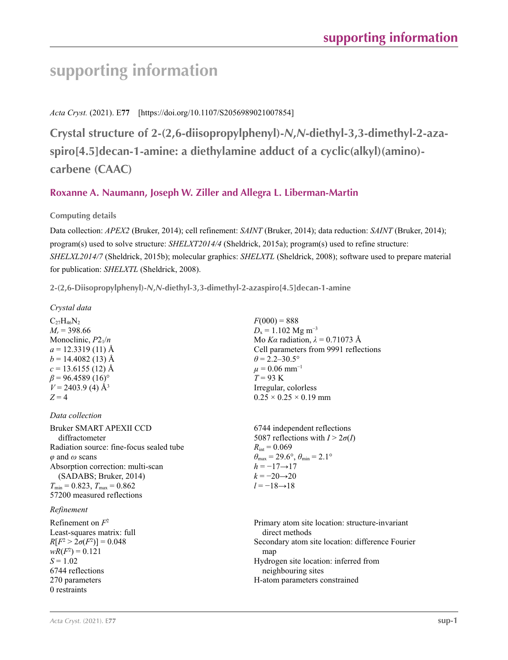# **supporting information**

*Acta Cryst.* (2021). E**77** [https://doi.org/10.1107/S2056989021007854]

**Crystal structure of 2-(2,6-diisopropylphenyl)-***N***,***N***-diethyl-3,3-dimethyl-2-azaspiro[4.5]decan-1-amine: a diethylamine adduct of a cyclic(alkyl)(amino) carbene (CAAC)**

## **Roxanne A. Naumann, Joseph W. Ziller and Allegra L. Liberman-Martin**

## **Computing details**

Data collection: *APEX2* (Bruker, 2014); cell refinement: *SAINT* (Bruker, 2014); data reduction: *SAINT* (Bruker, 2014); program(s) used to solve structure: *SHELXT2014/4* (Sheldrick, 2015a); program(s) used to refine structure: *SHELXL2014/7* (Sheldrick, 2015b); molecular graphics: *SHELXTL* (Sheldrick, 2008); software used to prepare material for publication: *SHELXTL* (Sheldrick, 2008).

**2-(2,6-Diisopropylphenyl)-***N***,***N***-diethyl-3,3-dimethyl-2-azaspiro[4.5]decan-1-amine** 

*Crystal data*

 $C_{27}H_{46}N_2$  $M_r$  = 398.66 Monoclinic,  $P2_1/n$  $a = 12.3319(11)$  Å  $b = 14.4082(13)$  Å  $c = 13.6155$  (12) Å  $\beta$  = 96.4589 (16)<sup>o</sup>  $V = 2403.9$  (4) Å<sup>3</sup>  $Z = 4$ 

*Data collection*

Bruker SMART APEXII CCD diffractometer Radiation source: fine-focus sealed tube *φ* and *ω* scans Absorption correction: multi-scan (SADABS; Bruker, 2014)  $T_{\text{min}} = 0.823$ ,  $T_{\text{max}} = 0.862$ 57200 measured reflections

## *Refinement*

Refinement on *F*<sup>2</sup> Least-squares matrix: full  $R[F^2 > 2\sigma(F^2)] = 0.048$  $wR(F^2) = 0.121$  $S = 1.02$ 6744 reflections 270 parameters 0 restraints

 $F(000) = 888$  $D_x = 1.102$  Mg m<sup>-3</sup> Mo *Kα* radiation,  $\lambda = 0.71073$  Å Cell parameters from 9991 reflections  $\theta$  = 2.2–30.5°  $\mu$  = 0.06 mm<sup>-1</sup> *T* = 93 K Irregular, colorless  $0.25 \times 0.25 \times 0.19$  mm

6744 independent reflections 5087 reflections with  $I > 2\sigma(I)$  $R_{\text{int}} = 0.069$  $\theta_{\text{max}} = 29.6^{\circ}, \theta_{\text{min}} = 2.1^{\circ}$  $h = -17 \rightarrow 17$  $k = -20 \rightarrow 20$  $l = -18 \rightarrow 18$ 

Primary atom site location: structure-invariant direct methods Secondary atom site location: difference Fourier man Hydrogen site location: inferred from neighbouring sites H-atom parameters constrained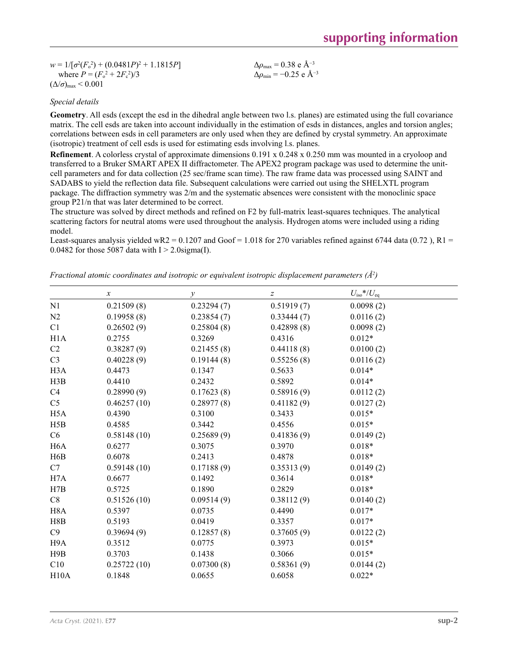$w = 1/[\sigma^2(F_o^2) + (0.0481P)^2 + 1.1815P]$ where  $P = (F_o^2 + 2F_c^2)/3$  $(\Delta/\sigma)_{\text{max}}$  < 0.001

$$
\Delta \rho_{\text{max}} = 0.38 \text{ e } \text{\AA}^{-3}
$$
  
\n $\Delta \rho_{\text{min}} = -0.25 \text{ e } \text{\AA}^{-3}$ 

### *Special details*

**Geometry**. All esds (except the esd in the dihedral angle between two l.s. planes) are estimated using the full covariance matrix. The cell esds are taken into account individually in the estimation of esds in distances, angles and torsion angles; correlations between esds in cell parameters are only used when they are defined by crystal symmetry. An approximate (isotropic) treatment of cell esds is used for estimating esds involving l.s. planes.

**Refinement**. A colorless crystal of approximate dimensions 0.191 x 0.248 x 0.250 mm was mounted in a cryoloop and transferred to a Bruker SMART APEX II diffractometer. The APEX2 program package was used to determine the unitcell parameters and for data collection (25 sec/frame scan time). The raw frame data was processed using SAINT and SADABS to yield the reflection data file. Subsequent calculations were carried out using the SHELXTL program package. The diffraction symmetry was 2/m and the systematic absences were consistent with the monoclinic space group P21/n that was later determined to be correct.

The structure was solved by direct methods and refined on F2 by full-matrix least-squares techniques. The analytical scattering factors for neutral atoms were used throughout the analysis. Hydrogen atoms were included using a riding model.

Least-squares analysis yielded wR2 = 0.1207 and Goof = 1.018 for 270 variables refined against 6744 data (0.72), R1 = 0.0482 for those 5087 data with  $I > 2.0$ sigma(I).

*Fractional atomic coordinates and isotropic or equivalent isotropic displacement parameters (Å2 )*

|                  | $\boldsymbol{\chi}$ | $\mathcal Y$ | $\boldsymbol{Z}$ | $U_{\rm iso}*/U_{\rm eq}$ |
|------------------|---------------------|--------------|------------------|---------------------------|
| N1               | 0.21509(8)          | 0.23294(7)   | 0.51919(7)       | 0.0098(2)                 |
| N2               | 0.19958(8)          | 0.23854(7)   | 0.33444(7)       | 0.0116(2)                 |
| C1               | 0.26502(9)          | 0.25804(8)   | 0.42898(8)       | 0.0098(2)                 |
| H1A              | 0.2755              | 0.3269       | 0.4316           | $0.012*$                  |
| C <sub>2</sub>   | 0.38287(9)          | 0.21455(8)   | 0.44118(8)       | 0.0100(2)                 |
| C <sub>3</sub>   | 0.40228(9)          | 0.19144(8)   | 0.55256(8)       | 0.0116(2)                 |
| H <sub>3</sub> A | 0.4473              | 0.1347       | 0.5633           | $0.014*$                  |
| H3B              | 0.4410              | 0.2432       | 0.5892           | $0.014*$                  |
| C4               | 0.28990(9)          | 0.17623(8)   | 0.58916(9)       | 0.0112(2)                 |
| C <sub>5</sub>   | 0.46257(10)         | 0.28977(8)   | 0.41182(9)       | 0.0127(2)                 |
| H <sub>5</sub> A | 0.4390              | 0.3100       | 0.3433           | $0.015*$                  |
| H5B              | 0.4585              | 0.3442       | 0.4556           | $0.015*$                  |
| C6               | 0.58148(10)         | 0.25689(9)   | 0.41836(9)       | 0.0149(2)                 |
| H <sub>6</sub> A | 0.6277              | 0.3075       | 0.3970           | $0.018*$                  |
| H6B              | 0.6078              | 0.2413       | 0.4878           | $0.018*$                  |
| C7               | 0.59148(10)         | 0.17188(9)   | 0.35313(9)       | 0.0149(2)                 |
| H <sub>7</sub> A | 0.6677              | 0.1492       | 0.3614           | $0.018*$                  |
| H7B              | 0.5725              | 0.1890       | 0.2829           | $0.018*$                  |
| C8               | 0.51526(10)         | 0.09514(9)   | 0.38112(9)       | 0.0140(2)                 |
| H <sub>8</sub> A | 0.5397              | 0.0735       | 0.4490           | $0.017*$                  |
| H8B              | 0.5193              | 0.0419       | 0.3357           | $0.017*$                  |
| C9               | 0.39694(9)          | 0.12857(8)   | 0.37605(9)       | 0.0122(2)                 |
| H <sub>9</sub> A | 0.3512              | 0.0775       | 0.3973           | $0.015*$                  |
| H9B              | 0.3703              | 0.1438       | 0.3066           | $0.015*$                  |
| C10              | 0.25722(10)         | 0.07300(8)   | 0.58361(9)       | 0.0144(2)                 |
| H10A             | 0.1848              | 0.0655       | 0.6058           | $0.022*$                  |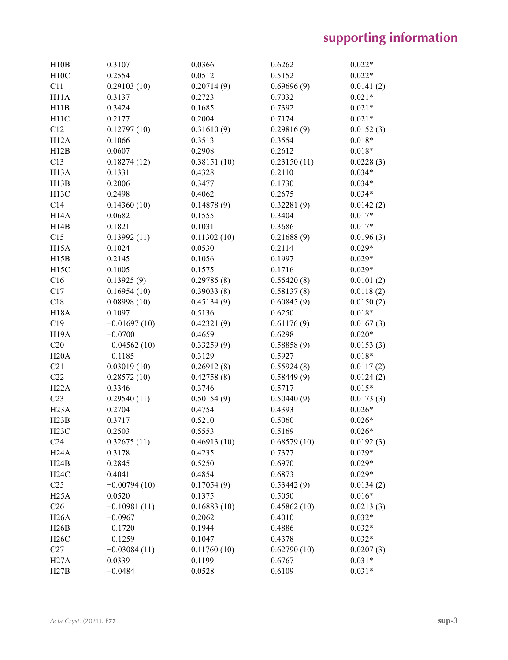| H10B              | 0.3107         | 0.0366      | 0.6262      | $0.022*$  |
|-------------------|----------------|-------------|-------------|-----------|
| H10C              | 0.2554         | 0.0512      | 0.5152      | $0.022*$  |
| C11               | 0.29103(10)    | 0.20714(9)  | 0.69696(9)  | 0.0141(2) |
| H11A              | 0.3137         | 0.2723      | 0.7032      | $0.021*$  |
| H11B              | 0.3424         | 0.1685      | 0.7392      | $0.021*$  |
| H <sub>11</sub> C | 0.2177         | 0.2004      | 0.7174      | $0.021*$  |
| C12               | 0.12797(10)    | 0.31610(9)  | 0.29816(9)  | 0.0152(3) |
| H12A              | 0.1066         | 0.3513      | 0.3554      | $0.018*$  |
| H12B              | 0.0607         | 0.2908      | 0.2612      | $0.018*$  |
| C13               | 0.18274(12)    | 0.38151(10) | 0.23150(11) | 0.0228(3) |
| H <sub>13</sub> A | 0.1331         | 0.4328      | 0.2110      | $0.034*$  |
| H13B              | 0.2006         | 0.3477      | 0.1730      | $0.034*$  |
| H <sub>13</sub> C | 0.2498         | 0.4062      | 0.2675      | $0.034*$  |
| C14               | 0.14360(10)    | 0.14878(9)  | 0.32281(9)  | 0.0142(2) |
| H <sub>14</sub> A | 0.0682         | 0.1555      | 0.3404      | $0.017*$  |
| H14B              | 0.1821         | 0.1031      | 0.3686      | $0.017*$  |
| C15               | 0.13992(11)    | 0.11302(10) | 0.21688(9)  | 0.0196(3) |
|                   |                |             | 0.2114      | $0.029*$  |
| H <sub>15</sub> A | 0.1024         | 0.0530      |             |           |
| H15B              | 0.2145         | 0.1056      | 0.1997      | $0.029*$  |
| H15C              | 0.1005         | 0.1575      | 0.1716      | $0.029*$  |
| C16               | 0.13925(9)     | 0.29785(8)  | 0.55420(8)  | 0.0101(2) |
| C17               | 0.16954(10)    | 0.39033(8)  | 0.58137(8)  | 0.0118(2) |
| C18               | 0.08998(10)    | 0.45134(9)  | 0.60845(9)  | 0.0150(2) |
| <b>H18A</b>       | 0.1097         | 0.5136      | 0.6250      | $0.018*$  |
| C19               | $-0.01697(10)$ | 0.42321(9)  | 0.61176(9)  | 0.0167(3) |
| H <sub>19</sub> A | $-0.0700$      | 0.4659      | 0.6298      | $0.020*$  |
| C20               | $-0.04562(10)$ | 0.33259(9)  | 0.58858(9)  | 0.0153(3) |
| H20A              | $-0.1185$      | 0.3129      | 0.5927      | $0.018*$  |
| C21               | 0.03019(10)    | 0.26912(8)  | 0.55924(8)  | 0.0117(2) |
| C22               | 0.28572(10)    | 0.42758(8)  | 0.58449(9)  | 0.0124(2) |
| H22A              | 0.3346         | 0.3746      | 0.5717      | $0.015*$  |
| C <sub>23</sub>   | 0.29540(11)    | 0.50154(9)  | 0.50440(9)  | 0.0173(3) |
| H <sub>23</sub> A | 0.2704         | 0.4754      | 0.4393      | $0.026*$  |
| H23B              | 0.3717         | 0.5210      | 0.5060      | $0.026*$  |
| H23C              | 0.2503         | 0.5553      | 0.5169      | $0.026*$  |
| C <sub>24</sub>   | 0.32675(11)    | 0.46913(10) | 0.68579(10) | 0.0192(3) |
| H <sub>24</sub> A | 0.3178         | 0.4235      | 0.7377      | $0.029*$  |
| H24B              | 0.2845         | 0.5250      | 0.6970      | $0.029*$  |
| H24C              | 0.4041         | 0.4854      | 0.6873      | $0.029*$  |
| C <sub>25</sub>   | $-0.00794(10)$ | 0.17054(9)  | 0.53442(9)  | 0.0134(2) |
| H25A              | 0.0520         | 0.1375      | 0.5050      | $0.016*$  |
| C <sub>26</sub>   | $-0.10981(11)$ | 0.16883(10) | 0.45862(10) | 0.0213(3) |
| H26A              | $-0.0967$      | 0.2062      | 0.4010      | $0.032*$  |
| H26B              | $-0.1720$      | 0.1944      | 0.4886      | $0.032*$  |
| H26C              | $-0.1259$      | 0.1047      | 0.4378      | $0.032*$  |
| C27               | $-0.03084(11)$ | 0.11760(10) | 0.62790(10) | 0.0207(3) |
| H27A              | 0.0339         | 0.1199      | 0.6767      | $0.031*$  |
| H27B              | $-0.0484$      | 0.0528      | 0.6109      | $0.031*$  |
|                   |                |             |             |           |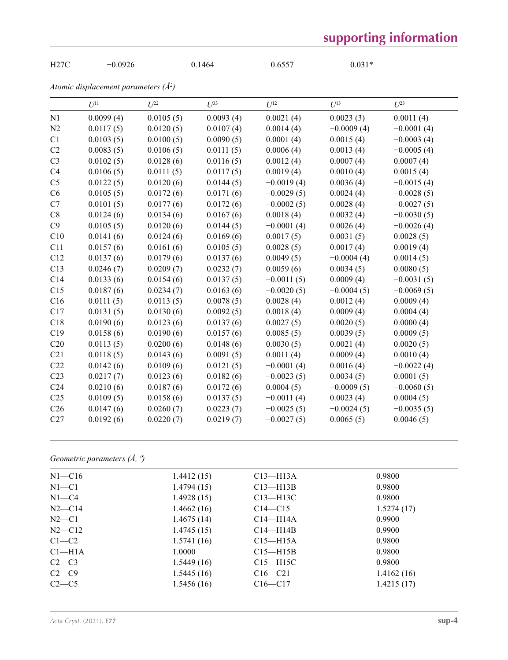# **supporting information**

| H27C            | $-0.0926$                              |           | 0.1464    | 0.6557       | $0.031*$     |              |
|-----------------|----------------------------------------|-----------|-----------|--------------|--------------|--------------|
|                 | Atomic displacement parameters $(A^2)$ |           |           |              |              |              |
|                 | $U^{11}$                               | $U^{22}$  | $U^{33}$  | $U^{12}$     | $U^{13}$     | $U^{23}$     |
| N <sub>1</sub>  | 0.0099(4)                              | 0.0105(5) | 0.0093(4) | 0.0021(4)    | 0.0023(3)    | 0.0011(4)    |
| N2              | 0.0117(5)                              | 0.0120(5) | 0.0107(4) | 0.0014(4)    | $-0.0009(4)$ | $-0.0001(4)$ |
| C1              | 0.0103(5)                              | 0.0100(5) | 0.0090(5) | 0.0001(4)    | 0.0015(4)    | $-0.0003(4)$ |
| C2              | 0.0083(5)                              | 0.0106(5) | 0.0111(5) | 0.0006(4)    | 0.0013(4)    | $-0.0005(4)$ |
| C <sub>3</sub>  | 0.0102(5)                              | 0.0128(6) | 0.0116(5) | 0.0012(4)    | 0.0007(4)    | 0.0007(4)    |
| C4              | 0.0106(5)                              | 0.0111(5) | 0.0117(5) | 0.0019(4)    | 0.0010(4)    | 0.0015(4)    |
| C <sub>5</sub>  | 0.0122(5)                              | 0.0120(6) | 0.0144(5) | $-0.0019(4)$ | 0.0036(4)    | $-0.0015(4)$ |
| C6              | 0.0105(5)                              | 0.0172(6) | 0.0171(6) | $-0.0029(5)$ | 0.0024(4)    | $-0.0028(5)$ |
| C7              | 0.0101(5)                              | 0.0177(6) | 0.0172(6) | $-0.0002(5)$ | 0.0028(4)    | $-0.0027(5)$ |
| $\rm{C}8$       | 0.0124(6)                              | 0.0134(6) | 0.0167(6) | 0.0018(4)    | 0.0032(4)    | $-0.0030(5)$ |
| C9              | 0.0105(5)                              | 0.0120(6) | 0.0144(5) | $-0.0001(4)$ | 0.0026(4)    | $-0.0026(4)$ |
| C10             | 0.0141(6)                              | 0.0124(6) | 0.0169(6) | 0.0017(5)    | 0.0031(5)    | 0.0028(5)    |
| C11             | 0.0157(6)                              | 0.0161(6) | 0.0105(5) | 0.0028(5)    | 0.0017(4)    | 0.0019(4)    |
| C12             | 0.0137(6)                              | 0.0179(6) | 0.0137(6) | 0.0049(5)    | $-0.0004(4)$ | 0.0014(5)    |
| C13             | 0.0246(7)                              | 0.0209(7) | 0.0232(7) | 0.0059(6)    | 0.0034(5)    | 0.0080(5)    |
| C14             | 0.0133(6)                              | 0.0154(6) | 0.0137(5) | $-0.0011(5)$ | 0.0009(4)    | $-0.0031(5)$ |
| C15             | 0.0187(6)                              | 0.0234(7) | 0.0163(6) | $-0.0020(5)$ | $-0.0004(5)$ | $-0.0069(5)$ |
| C16             | 0.0111(5)                              | 0.0113(5) | 0.0078(5) | 0.0028(4)    | 0.0012(4)    | 0.0009(4)    |
| C17             | 0.0131(5)                              | 0.0130(6) | 0.0092(5) | 0.0018(4)    | 0.0009(4)    | 0.0004(4)    |
| C18             | 0.0190(6)                              | 0.0123(6) | 0.0137(6) | 0.0027(5)    | 0.0020(5)    | 0.0000(4)    |
| C19             | 0.0158(6)                              | 0.0190(6) | 0.0157(6) | 0.0085(5)    | 0.0039(5)    | 0.0009(5)    |
| C20             | 0.0113(5)                              | 0.0200(6) | 0.0148(6) | 0.0030(5)    | 0.0021(4)    | 0.0020(5)    |
| C <sub>21</sub> | 0.0118(5)                              | 0.0143(6) | 0.0091(5) | 0.0011(4)    | 0.0009(4)    | 0.0010(4)    |
| C22             | 0.0142(6)                              | 0.0109(6) | 0.0121(5) | $-0.0001(4)$ | 0.0016(4)    | $-0.0022(4)$ |
| C <sub>23</sub> | 0.0217(7)                              | 0.0123(6) | 0.0182(6) | $-0.0023(5)$ | 0.0034(5)    | 0.0001(5)    |
| C <sub>24</sub> | 0.0210(6)                              | 0.0187(6) | 0.0172(6) | 0.0004(5)    | $-0.0009(5)$ | $-0.0060(5)$ |
| C <sub>25</sub> | 0.0109(5)                              | 0.0158(6) | 0.0137(5) | $-0.0011(4)$ | 0.0023(4)    | 0.0004(5)    |
| C <sub>26</sub> | 0.0147(6)                              | 0.0260(7) | 0.0223(7) | $-0.0025(5)$ | $-0.0024(5)$ | $-0.0035(5)$ |
| C27             | 0.0192(6)                              | 0.0220(7) | 0.0219(7) | $-0.0027(5)$ | 0.0065(5)    | 0.0046(5)    |

## *Geometric parameters (Å, º)*

| $N1 - C16$         | 1.4412(15) | $C13$ —H13A  | 0.9800     |
|--------------------|------------|--------------|------------|
| $N1 - C1$          | 1.4794(15) | $C13$ —H13B  | 0.9800     |
| $N1 - C4$          | 1.4928(15) | $C13$ —H13C  | 0.9800     |
| $N2-C14$           | 1.4662(16) | $C14 - C15$  | 1.5274(17) |
| $N2-C1$            | 1.4675(14) | $C14 - H14A$ | 0.9900     |
| $N2 - C12$         | 1.4745(15) | $C14 - H14B$ | 0.9900     |
| $C1-C2$            | 1.5741(16) | $C15 - H15A$ | 0.9800     |
| Cl <sub>–H1A</sub> | 1.0000     | $C15 - H15B$ | 0.9800     |
| $C2-C3$            | 1.5449(16) | $C15 - H15C$ | 0.9800     |
| $C2-C9$            | 1.5445(16) | $C16 - C21$  | 1.4162(16) |
| $C2-C5$            | 1.5456(16) | $C16 - C17$  | 1.4215(17) |
|                    |            |              |            |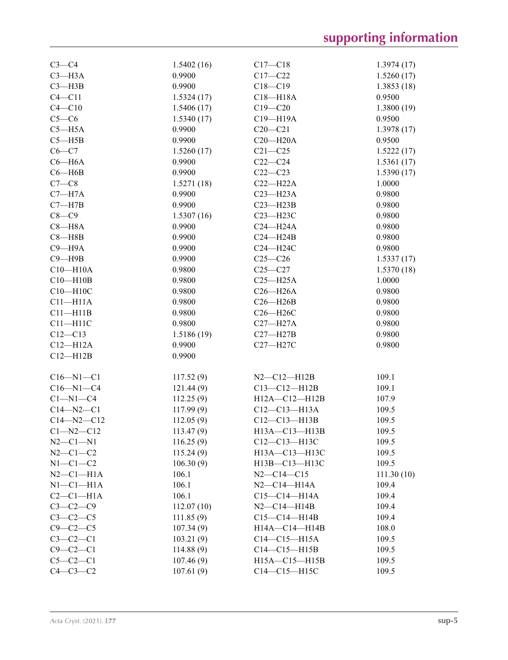| $C3-C4$          | 1.5402(16) | $C17 - C18$           | 1.3974(17) |
|------------------|------------|-----------------------|------------|
| $C3 - H3A$       | 0.9900     | $C17 - C22$           | 1.5260(17) |
| $C3 - H3B$       | 0.9900     | $C18 - C19$           | 1.3853(18) |
| $C4 - C11$       | 1.5324(17) | $C18 - H18A$          | 0.9500     |
| $C4 - C10$       | 1.5406(17) | $C19 - C20$           | 1.3800(19) |
| $C5-C6$          | 1.5340(17) | C19-H19A              | 0.9500     |
| $C5 - H5A$       | 0.9900     | $C20-C21$             | 1.3978(17) |
| $C5 - H5B$       | 0.9900     | $C20 - H20A$          | 0.9500     |
| $C6 - C7$        | 1.5260(17) | $C21 - C25$           | 1.5222(17) |
| $C6 - H6A$       | 0.9900     | $C22-C24$             | 1.5361(17) |
| $C6 - H6B$       | 0.9900     | $C22-C23$             | 1.5390(17) |
| $C7-C8$          | 1.5271(18) | $C22 - H22A$          | 1.0000     |
| $C7 - H7A$       | 0.9900     | $C23 - H23A$          | 0.9800     |
| $C7 - H7B$       | 0.9900     | $C23 - H23B$          | 0.9800     |
| $C8-C9$          | 1.5307(16) | C23-H23C              | 0.9800     |
| $C8 - H8A$       | 0.9900     | $C24 - H24A$          | 0.9800     |
| $C8 - H8B$       | 0.9900     | $C24 - H24B$          | 0.9800     |
| $C9 - H9A$       | 0.9900     | C24-H24C              | 0.9800     |
| $C9 - H9B$       | 0.9900     | $C25-C26$             | 1.5337(17) |
| $C10 - H10A$     | 0.9800     | $C25 - C27$           | 1.5370(18) |
| $C10 - H10B$     | 0.9800     | $C25 - H25A$          | 1.0000     |
| C10-H10C         | 0.9800     | $C26 - H26A$          | 0.9800     |
| $C11 - H11A$     | 0.9800     | $C26 - H26B$          | 0.9800     |
| $C11 - H11B$     | 0.9800     | C26-H26C              | 0.9800     |
| $C11 - H11C$     | 0.9800     | $C27 - H27A$          | 0.9800     |
| $C12 - C13$      | 1.5186(19) | $C27 - H27B$          | 0.9800     |
| $C12 - H12A$     | 0.9900     | C27-H27C              | 0.9800     |
| $C12 - H12B$     | 0.9900     |                       |            |
|                  |            |                       |            |
| $C16 - N1 - C1$  | 117.52(9)  | $N2 - C12 - H12B$     | 109.1      |
| $C16 - N1 - C4$  | 121.44(9)  | $C13 - C12 - H12B$    | 109.1      |
| $C1 - N1 - C4$   | 112.25(9)  | H12A-C12-H12B         | 107.9      |
| $C14 - N2 - C1$  | 117.99(9)  | $C12-C13-H13A$        | 109.5      |
| $C14 - N2 - C12$ | 112.05(9)  | $C12 - C13 - H13B$    | 109.5      |
| $Cl - N2 - Cl2$  | 113.47(9)  | $H13A - C13 - H13B$   | 109.5      |
| $N2 - C1 - N1$   | 116.25(9)  | $C12-C13-H13C$        | 109.5      |
| $N2 - C1 - C2$   | 115.24(9)  | H13A-C13-H13C         | 109.5      |
| $N1-C1-C2$       | 106.30(9)  | H13B-C13-H13C         | 109.5      |
| $N2-C1-H1A$      | 106.1      | $N2 - C14 - C15$      | 111.30(10) |
| $N1-C1-H1A$      | 106.1      | $N2$ — $C14$ — $H14A$ | 109.4      |
| $C2-C1-H1A$      | 106.1      | $C15 - C14 - H14A$    | 109.4      |
| $C3 - C2 - C9$   | 112.07(10) | $N2-C14-H14B$         | 109.4      |
| $C3-C2-C5$       | 111.85(9)  | $C15-C14-H14B$        | 109.4      |
| $C9 - C2 - C5$   | 107.34(9)  | H14A-C14-H14B         | 108.0      |
| $C3-C2-C1$       | 103.21(9)  | $C14-C15-H15A$        | 109.5      |
| $C9-C2-C1$       | 114.88(9)  | $C14-C15-H15B$        | 109.5      |
| $C5-C2-C1$       | 107.46(9)  | H15A-C15-H15B         | 109.5      |
| $C4-C3-C2$       | 107.61(9)  | C14-C15-H15C          | 109.5      |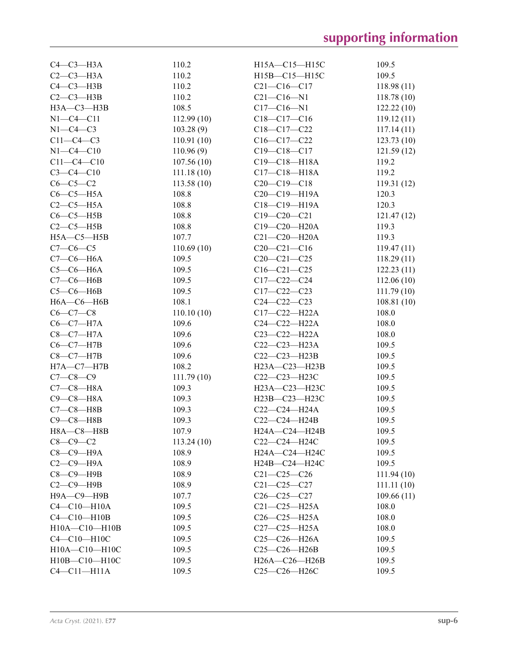| $C4-C3-H3A$       | 110.2      | $H15A - C15 - H15C$                                 | 109.5      |
|-------------------|------------|-----------------------------------------------------|------------|
| $C2-C3-H3A$       | 110.2      | H15B-C15-H15C                                       | 109.5      |
| $C4-C3-H3B$       | 110.2      | $C21 - C16 - C17$                                   | 118.98(11) |
| $C2-C3-H3B$       | 110.2      | $C21 - C16 - N1$                                    | 118.78(10) |
| НЗА-СЗ-НЗВ        | 108.5      | $C17 - C16 - N1$                                    | 122.22(10) |
| $N1 - C4 - C11$   | 112.99(10) | $C18-C17-C16$                                       | 119.12(11) |
| $N1-C4-C3$        | 103.28(9)  | $C18 - C17 - C22$                                   | 117.14(11) |
| $C11-C4-C3$       | 110.91(10) | $C16 - C17 - C22$                                   | 123.73(10) |
| $N1 - C4 - C10$   | 110.96(9)  | $C19 - C18 - C17$                                   | 121.59(12) |
| $C11 - C4 - C10$  | 107.56(10) | $C19 - C18 - H18A$                                  | 119.2      |
| $C3 - C4 - C10$   | 111.18(10) | $C17 - C18 - H18A$                                  | 119.2      |
| $C6-C5-C2$        | 113.58(10) | $C20-C19-C18$                                       | 119.31(12) |
| $C6-C5-H5A$       | 108.8      | C <sub>20</sub> -C <sub>19</sub> -H <sub>19</sub> A | 120.3      |
| $C2-C5-H5A$       | 108.8      | $C18 - C19 - H19A$                                  | 120.3      |
| $C6-C5-H5B$       | 108.8      | $C19 - C20 - C21$                                   | 121.47(12) |
| $C2-C5-H5B$       | 108.8      | C19-C20-H20A                                        | 119.3      |
| $H5A - C5 - H5B$  |            | $C21 - C20 - H20A$                                  |            |
|                   | 107.7      |                                                     | 119.3      |
| $C7 - C6 - C5$    | 110.69(10) | $C20-C21-C16$                                       | 119.47(11) |
| $C7-C6-H6A$       | 109.5      | $C20 - C21 - C25$                                   | 118.29(11) |
| $C5-C6-H6A$       | 109.5      | $C16 - C21 - C25$                                   | 122.23(11) |
| $C7-C6-H6B$       | 109.5      | $C17-C22-C24$                                       | 112.06(10) |
| $C5-C6-H6B$       | 109.5      | $C17 - C22 - C23$                                   | 111.79(10) |
| $H6A - C6 - H6B$  | 108.1      | $C24 - C22 - C23$                                   | 108.81(10) |
| $C6-C7-C8$        | 110.10(10) | $C17 - C22 - H22A$                                  | 108.0      |
| $C6-C7-H7A$       | 109.6      | $C24 - C22 - H22A$                                  | 108.0      |
| $C8-C7-H7A$       | 109.6      | $C23 - C22 - H22A$                                  | 108.0      |
| $C6-C7-H7B$       | 109.6      | $C22-C23-H23A$                                      | 109.5      |
| $C8-C7-H7B$       | 109.6      | $C22-C23-H23B$                                      | 109.5      |
| $H7A - C7 - H7B$  | 108.2      | H23A-C23-H23B                                       | 109.5      |
| $C7 - C8 - C9$    | 111.79(10) | C22-C23-H23C                                        | 109.5      |
| $C7-C8-H8A$       | 109.3      | H23A-C23-H23C                                       | 109.5      |
| $C9 - C8 - H8A$   | 109.3      | H23B-C23-H23C                                       | 109.5      |
| $C7-C8-HBB$       | 109.3      | C22-C24-H24A                                        | 109.5      |
| $C9 - C8 - H8B$   | 109.3      | C22-C24-H24B                                        | 109.5      |
| $H8A - C8 - H8B$  | 107.9      | H24A-C24-H24B                                       | 109.5      |
| $C8-C9-C2$        | 113.24(10) | $C22-C24-H24C$                                      | 109.5      |
| $C8-C9-H9A$       | 108.9      | H24A-C24-H24C                                       | 109.5      |
| $C2-C9-H9A$       | 108.9      | H24B-C24-H24C                                       | 109.5      |
| $C8-C9-$ H9B      | 108.9      | $C21 - C25 - C26$                                   | 111.94(10) |
| $C2-C9-$ H9B      | 108.9      | $C21 - C25 - C27$                                   | 111.11(10) |
| Н9А-С9-Н9В        | 107.7      | $C26-C25-C27$                                       | 109.66(11) |
| $C4 - C10 - H10A$ | 109.5      | $C21 - C25 - H25A$                                  | 108.0      |
| $C4-C10-H10B$     | 109.5      | $C26-C25-H25A$                                      | 108.0      |
| H10A-C10-H10B     | 109.5      | $C27-C25-H25A$                                      | 108.0      |
| C4-C10-H10C       | 109.5      | C25-C26-H26A                                        | 109.5      |
| H10A-C10-H10C     | 109.5      | C25-C26-H26B                                        | 109.5      |
| H10B-C10-H10C     | 109.5      | H26A-C26-H26B                                       | 109.5      |
| $C4-C11-H11A$     | 109.5      | C25-C26-H26C                                        | 109.5      |
|                   |            |                                                     |            |